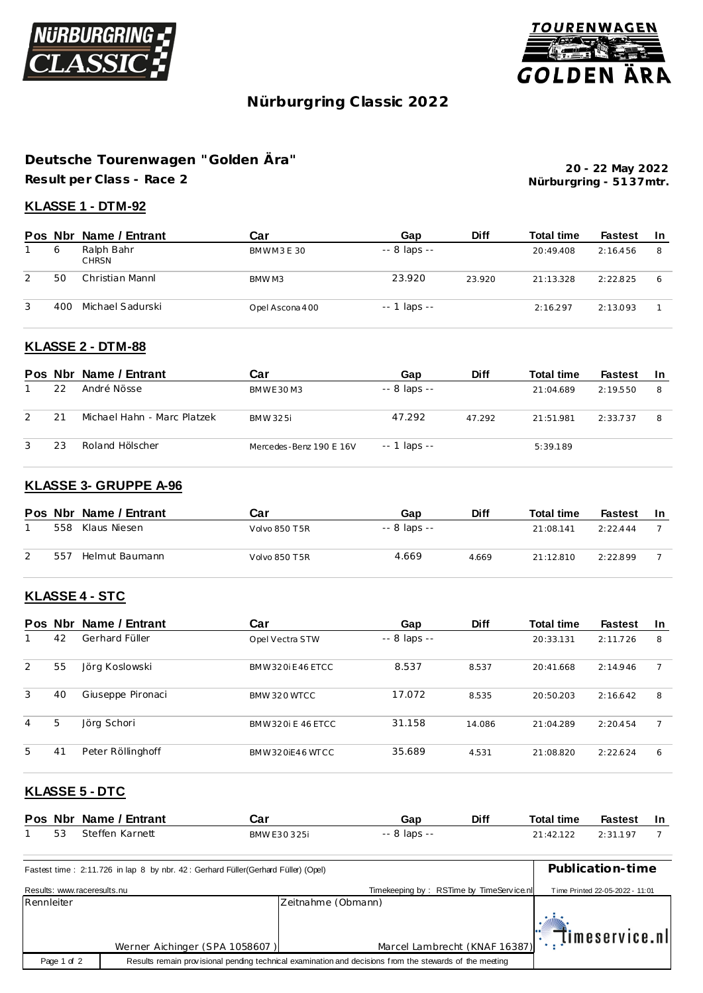



# **Nürburgring C lassic 2022**

# **Deutsche Tourenwagen "Golden Ära"**

**Result per Class - Race 2**

**Nürburgring - 51 37mtr. 20 - 22 May 2022**

# **KLASSE 1 - DTM-92**

|   |     | Pos Nbr Name / Entrant     | Car             | Gap                | <b>Diff</b> | <b>Total time</b> | Fastest  | -In |
|---|-----|----------------------------|-----------------|--------------------|-------------|-------------------|----------|-----|
|   | 6   | Ralph Bahr<br><b>CHRSN</b> | BMWM3E30        | $-8$ laps $-$      |             | 20:49.408         | 2:16.456 | 8   |
| 2 | 50  | Christian Mannl            | BMW M3          | 23.920             | 23.920      | 21:13.328         | 2:22.825 | 6   |
| 3 | 400 | Michael Sadurski           | Opel Ascona 400 | $- - 1$ laps $- -$ |             | 2:16.297          | 2:13.093 |     |

# **KLASSE 2 - DTM-88**

|   |    | Pos Nbr Name / Entrant      | Car                     | Gap                | <b>Diff</b> | <b>Total time</b> | <b>Fastest</b> | -In |
|---|----|-----------------------------|-------------------------|--------------------|-------------|-------------------|----------------|-----|
|   | 22 | André Nösse                 | BM W F 30 M 3           | $-8$ laps $-$      |             | 21:04.689         | 2:19.550       | 8   |
| 2 | 21 | Michael Hahn - Marc Platzek | BMW 325i                | 47.292             | 47.292      | 21:51.981         | 2:33.737       | 8   |
| 3 | 23 | Roland Hölscher             | Mercedes-Benz 190 E 16V | $- - 1$ laps $- -$ |             | 5:39.189          |                |     |

#### **KLASSE 3- GRUPPE A-96**

|   |     | Pos Nbr Name / Entrant | Car           | Gap           | <b>Diff</b> | <b>Total time</b> | Fastest  | -In |
|---|-----|------------------------|---------------|---------------|-------------|-------------------|----------|-----|
|   | 558 | Klaus Niesen           | Volvo 850 T5R | $-8$ laps $-$ |             | 21:08.141         | 2:22.444 |     |
| 2 | 557 | Helmut Baumann         | Volvo 850 T5R | 4.669         | 4.669       | 21:12.810         | 2.22899  |     |

#### **KLASSE 4 - STC**

| Pos Nbr |    | Name / Entrant    | Car               | Gap           | <b>Diff</b> | <b>Total time</b> | <b>Fastest</b> | <b>In</b> |
|---------|----|-------------------|-------------------|---------------|-------------|-------------------|----------------|-----------|
|         | 42 | Gerhard Füller    | Opel Vectra STW   | $-8$ laps $-$ |             | 20:33.131         | 2:11.726       | 8         |
| 2       | 55 | Jörg Koslowski    | BMW320iF46FTCC    | 8.537         | 8.537       | 20:41.668         | 2:14.946       |           |
| 3       | 40 | Giuseppe Pironaci | BMW 320 WTCC      | 17.072        | 8.535       | 20:50.203         | 2:16.642       | 8         |
| 4       | 5  | Jörg Schori       | BMW320i E 46 ETCC | 31.158        | 14.086      | 21:04.289         | 2:20.454       |           |
| 5       | 41 | Peter Röllinghoff | BMW320iF46WTCC    | 35.689        | 4.531       | 21:08.820         | 2:22.624       | 6         |

#### **KLASSE 5 - DTC**

|    | Pos Nbr Name / Entrant | Car         | Gap          | <b>Diff</b> | <b>Total time</b> | <b>Fastest</b> | - In |
|----|------------------------|-------------|--------------|-------------|-------------------|----------------|------|
| 53 | Steffen Karnett        | BMW F30325i | -- 8 laps -- |             | 21:42.122         | 2:31.197       |      |

| Fastest time: 2:11.726 in lap 8 by nbr. 42: Gerhard Füller(Gerhard Füller) (Opel) | Publication-time               |                                          |                                 |
|-----------------------------------------------------------------------------------|--------------------------------|------------------------------------------|---------------------------------|
| Results: www.raceresults.nu                                                       |                                | Timekeeping by: RSTime by TimeService.nl | Time Printed 22-05-2022 - 11:01 |
| Rennleiter                                                                        |                                | Zeitnahme (Obmann)                       |                                 |
|                                                                                   | Werner Aichinger (SPA 1058607) | Marcel Lambrecht (KNAF 16387)            | $\mathbb{R}$ timeservice.nl     |
| Page 1 of 2                                                                       |                                |                                          |                                 |
|                                                                                   |                                |                                          |                                 |